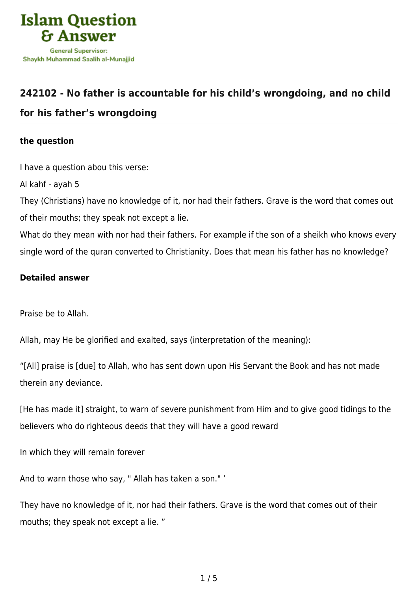

## **[242102 - No father is accountable for his child's wrongdoing, and no child](https://islamqa.com/en/answers/242102/no-father-is-accountable-for-his-childs-wrongdoing-and-no-child-for-his-fathers-wrongdoing) [for his father's wrongdoing](https://islamqa.com/en/answers/242102/no-father-is-accountable-for-his-childs-wrongdoing-and-no-child-for-his-fathers-wrongdoing)**

## **the question**

I have a question abou this verse:

Al kahf - ayah 5

They (Christians) have no knowledge of it, nor had their fathers. Grave is the word that comes out of their mouths; they speak not except a lie.

What do they mean with nor had their fathers. For example if the son of a sheikh who knows every single word of the quran converted to Christianity. Does that mean his father has no knowledge?

## **Detailed answer**

Praise be to Allah.

Allah, may He be glorified and exalted, says (interpretation of the meaning):

"[All] praise is [due] to Allah, who has sent down upon His Servant the Book and has not made therein any deviance.

[He has made it] straight, to warn of severe punishment from Him and to give good tidings to the believers who do righteous deeds that they will have a good reward

In which they will remain forever

And to warn those who say, " Allah has taken a son." '

They have no knowledge of it, nor had their fathers. Grave is the word that comes out of their mouths; they speak not except a lie. "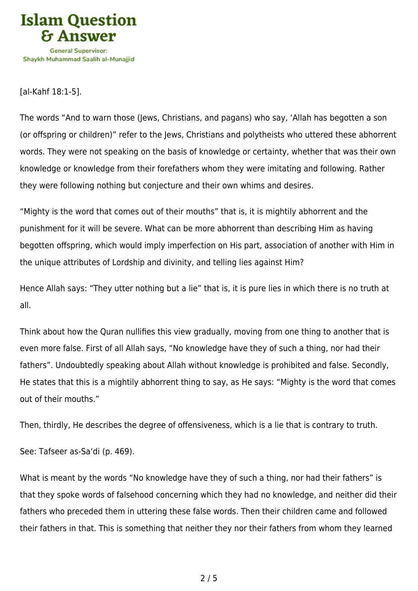

[al-Kahf 18:1-5].

The words "And to warn those (Jews, Christians, and pagans) who say, 'Allah has begotten a son (or offspring or children)" refer to the Jews, Christians and polytheists who uttered these abhorrent words. They were not speaking on the basis of knowledge or certainty, whether that was their own knowledge or knowledge from their forefathers whom they were imitating and following. Rather they were following nothing but conjecture and their own whims and desires.

"Mighty is the word that comes out of their mouths" that is, it is mightily abhorrent and the punishment for it will be severe. What can be more abhorrent than describing Him as having begotten offspring, which would imply imperfection on His part, association of another with Him in the unique attributes of Lordship and divinity, and telling lies against Him?

Hence Allah says: "They utter nothing but a lie" that is, it is pure lies in which there is no truth at all.

Think about how the Quran nullifies this view gradually, moving from one thing to another that is even more false. First of all Allah says, "No knowledge have they of such a thing, nor had their fathers". Undoubtedly speaking about Allah without knowledge is prohibited and false. Secondly, He states that this is a mightily abhorrent thing to say, as He says: "Mighty is the word that comes out of their mouths."

Then, thirdly, He describes the degree of offensiveness, which is a lie that is contrary to truth.

See: Tafseer as-Sa'di (p. 469).

What is meant by the words "No knowledge have they of such a thing, nor had their fathers" is that they spoke words of falsehood concerning which they had no knowledge, and neither did their fathers who preceded them in uttering these false words. Then their children came and followed their fathers in that. This is something that neither they nor their fathers from whom they learned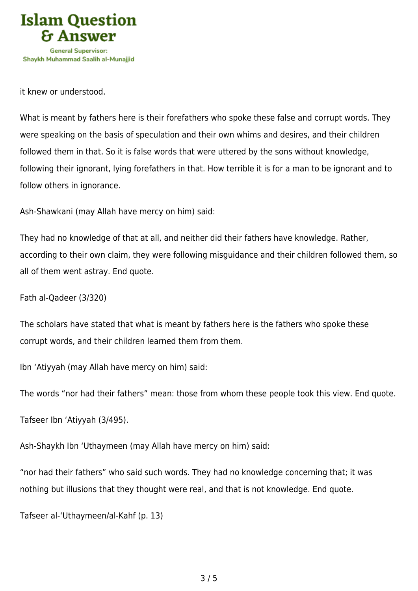

it knew or understood.

What is meant by fathers here is their forefathers who spoke these false and corrupt words. They were speaking on the basis of speculation and their own whims and desires, and their children followed them in that. So it is false words that were uttered by the sons without knowledge, following their ignorant, lying forefathers in that. How terrible it is for a man to be ignorant and to follow others in ignorance.

Ash-Shawkani (may Allah have mercy on him) said:

They had no knowledge of that at all, and neither did their fathers have knowledge. Rather, according to their own claim, they were following misguidance and their children followed them, so all of them went astray. End quote.

Fath al-Qadeer (3/320)

The scholars have stated that what is meant by fathers here is the fathers who spoke these corrupt words, and their children learned them from them.

Ibn 'Atiyyah (may Allah have mercy on him) said:

The words "nor had their fathers" mean: those from whom these people took this view. End quote.

Tafseer Ibn 'Atiyyah (3/495).

Ash-Shaykh Ibn 'Uthaymeen (may Allah have mercy on him) said:

"nor had their fathers" who said such words. They had no knowledge concerning that; it was nothing but illusions that they thought were real, and that is not knowledge. End quote.

Tafseer al-'Uthaymeen/al-Kahf (p. 13)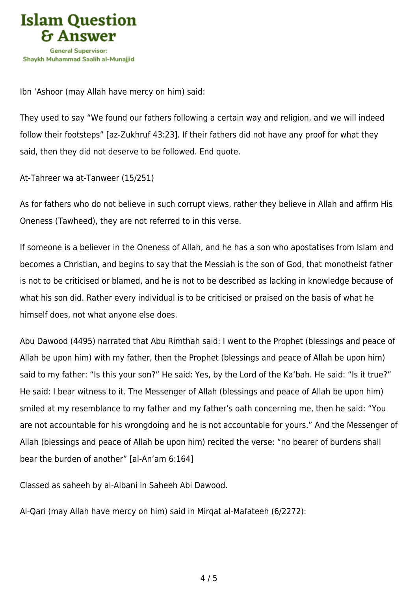

Ibn 'Ashoor (may Allah have mercy on him) said:

They used to say "We found our fathers following a certain way and religion, and we will indeed follow their footsteps" [az-Zukhruf 43:23]. If their fathers did not have any proof for what they said, then they did not deserve to be followed. End quote.

At-Tahreer wa at-Tanweer (15/251)

As for fathers who do not believe in such corrupt views, rather they believe in Allah and affirm His Oneness (Tawheed), they are not referred to in this verse.

If someone is a believer in the Oneness of Allah, and he has a son who apostatises from Islam and becomes a Christian, and begins to say that the Messiah is the son of God, that monotheist father is not to be criticised or blamed, and he is not to be described as lacking in knowledge because of what his son did. Rather every individual is to be criticised or praised on the basis of what he himself does, not what anyone else does.

Abu Dawood (4495) narrated that Abu Rimthah said: I went to the Prophet (blessings and peace of Allah be upon him) with my father, then the Prophet (blessings and peace of Allah be upon him) said to my father: "Is this your son?" He said: Yes, by the Lord of the Ka'bah. He said: "Is it true?" He said: I bear witness to it. The Messenger of Allah (blessings and peace of Allah be upon him) smiled at my resemblance to my father and my father's oath concerning me, then he said: "You are not accountable for his wrongdoing and he is not accountable for yours." And the Messenger of Allah (blessings and peace of Allah be upon him) recited the verse: "no bearer of burdens shall bear the burden of another" [al-An'am 6:164]

Classed as saheeh by al-Albani in Saheeh Abi Dawood.

Al-Qari (may Allah have mercy on him) said in Mirqat al-Mafateeh (6/2272):